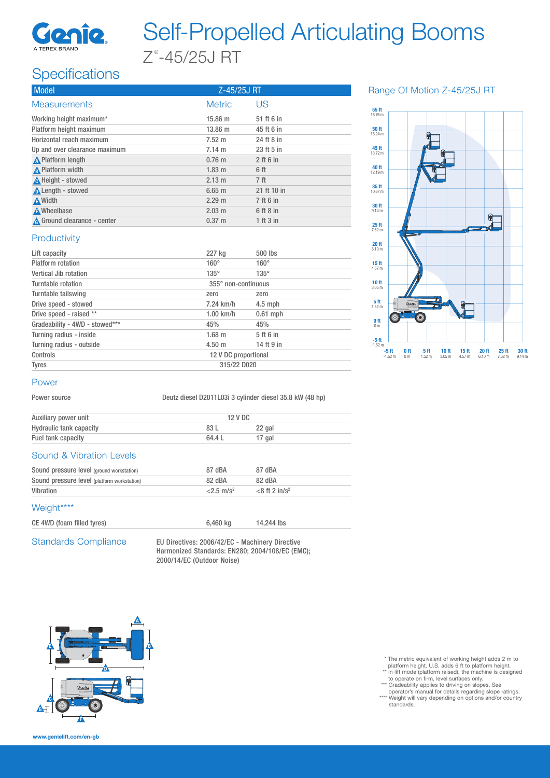

# Self-Propelled Articulating Booms  $Z^*$ -45/25J RT

## **Specifications**

| <b>Model</b>                  | Z-45/25J RT      |                 |  |
|-------------------------------|------------------|-----------------|--|
| <b>Measurements</b>           | <b>Metric</b>    | US              |  |
| Working height maximum*       | $15.86 \; m$     | 51 ft 6 in      |  |
| Platform height maximum       | $13.86 \; m$     | 45 ft 6 in      |  |
| Horizontal reach maximum      | $7.52 \text{ m}$ | 24 ft 8 in      |  |
| Up and over clearance maximum | $7.14 \text{ m}$ | 23 ft 5 in      |  |
| <b>A</b> Platform length      | $0.76$ m         | $2$ ft 6 in     |  |
| A Platform width              | $1.83 \; m$      | 6 ft            |  |
| A Height - stowed             | 2.13 m           | 7 <sub>ft</sub> |  |
| Length - stowed               | $6.65$ m         | 21 ft 10 in     |  |
| <b>A</b> Width                | $2.29 \text{ m}$ | 7 ft 6 in       |  |
| <b>A</b> Wheelbase            | $2.03 \text{ m}$ | 6 ft 8 in       |  |
| A Ground clearance - center   | $0.37 \; m$      | 1 ft 3 in       |  |

Range Of Motion Z-45/25J RT



#### **Productivity**

| Lift capacity                  | 227 kg               | 500 lbs     |  |
|--------------------------------|----------------------|-------------|--|
| Platform rotation              | $160^\circ$          | $160^\circ$ |  |
| Vertical Jib rotation          | $135^\circ$          | $135^\circ$ |  |
| Turntable rotation             | 355° non-continuous  |             |  |
| Turntable tailswing            | zero                 | zero        |  |
| Drive speed - stowed           | 7.24 km/h            | $4.5$ mph   |  |
| Drive speed - raised **        | $1.00$ km/h          | $0.61$ mph  |  |
| Gradeability - 4WD - stowed*** | 45%                  | 45%         |  |
| Turning radius - inside        | $1.68$ m             | 5 ft 6 in   |  |
| Turning radius - outside       | $4.50 \;{\rm m}$     | 14 ft 9 in  |  |
| Controls                       | 12 V DC proportional |             |  |
| <b>Tyres</b>                   | 315/22 D020          |             |  |

#### Power

Power source Deutz diesel D2011L03i 3 cylinder diesel 35.8 kW (48 hp)

| Auxiliary power unit           | 12 V DC |        |  |
|--------------------------------|---------|--------|--|
| <b>Hydraulic tank capacity</b> | 83 L    | 22 gal |  |
| Fuel tank capacity             | 64.4 L  | 17 gal |  |

#### Sound & Vibration Levels

| 87 dBA              | 87 dBA                       |
|---------------------|------------------------------|
| 82 dBA              | 82 dBA                       |
| $2.5 \text{ m/s}^2$ | $<$ 8 ft 2 in/s <sup>2</sup> |
|                     |                              |

#### Weight\*\*\*\*

CE 4WD (foam filled tyres) 6,460 kg 14,244 lbs

Standards Compliance EU Directives: 2006/42/EC - Machinery Directive Harmonized Standards: EN280; 2004/108/EC (EMC); 2000/14/EC (Outdoor Noise)



\* The metric equivalent of working height adds 2 m to

- platform height. U.S. adds 6 ft to platform height. \*\* In lift mode (platform raised), the machine is designed
- to operate on firm, level surfaces only. \*\*\* Gradeability applies to driving on slopes. See
- operator's manual for details regarding slope ratings. \*\*\*\* Weight will vary depending on options and/or country